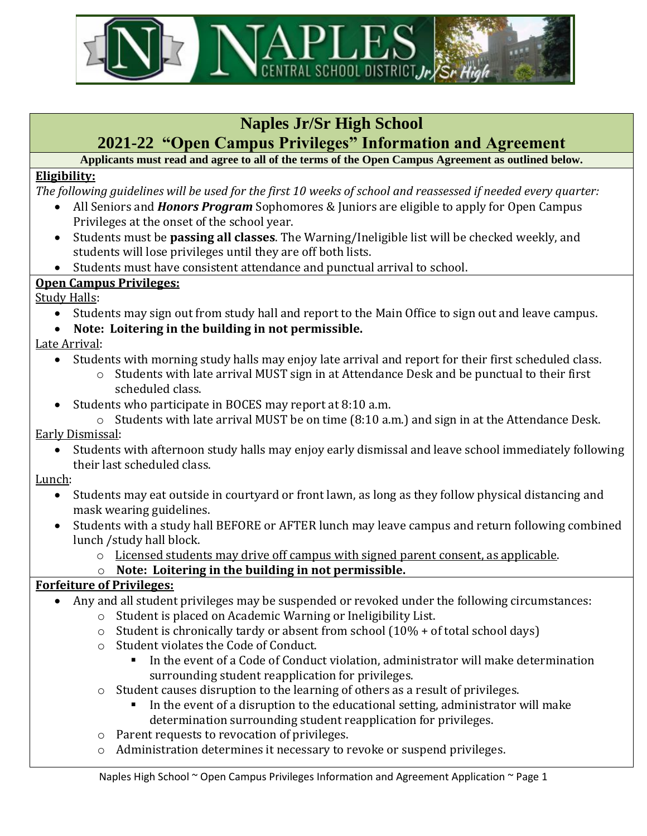

### **Naples Jr/Sr High School**

## **2021-22 "Open Campus Privileges" Information and Agreement**

**Applicants must read and agree to all of the terms of the Open Campus Agreement as outlined below.**

### **Eligibility:**

*The following guidelines will be used for the first 10 weeks of school and reassessed if needed every quarter:*

- All Seniors and *Honors Program* Sophomores & Juniors are eligible to apply for Open Campus Privileges at the onset of the school year.
- Students must be **passing all classes**. The Warning/Ineligible list will be checked weekly, and students will lose privileges until they are off both lists.
- Students must have consistent attendance and punctual arrival to school.

### **Open Campus Privileges:**

Study Halls:

- Students may sign out from study hall and report to the Main Office to sign out and leave campus.
- **Note: Loitering in the building in not permissible.**

Late Arrival:

- Students with morning study halls may enjoy late arrival and report for their first scheduled class.
	- o Students with late arrival MUST sign in at Attendance Desk and be punctual to their first scheduled class.
- Students who participate in BOCES may report at 8:10 a.m.
	- o Students with late arrival MUST be on time (8:10 a.m.) and sign in at the Attendance Desk.

Early Dismissal:

• Students with afternoon study halls may enjoy early dismissal and leave school immediately following their last scheduled class.

#### Lunch:

- Students may eat outside in courtyard or front lawn, as long as they follow physical distancing and mask wearing guidelines.
- Students with a study hall BEFORE or AFTER lunch may leave campus and return following combined lunch /study hall block.
	- $\circ$  Licensed students may drive off campus with signed parent consent, as applicable.

#### o **Note: Loitering in the building in not permissible.**

#### **Forfeiture of Privileges:**

- Any and all student privileges may be suspended or revoked under the following circumstances:
	- o Student is placed on Academic Warning or Ineligibility List.
	- $\circ$  Student is chronically tardy or absent from school (10% + of total school days)
	- o Student violates the Code of Conduct.
		- In the event of a Code of Conduct violation, administrator will make determination surrounding student reapplication for privileges.
	- $\circ$  Student causes disruption to the learning of others as a result of privileges.
		- In the event of a disruption to the educational setting, administrator will make determination surrounding student reapplication for privileges.
	- o Parent requests to revocation of privileges.
	- o Administration determines it necessary to revoke or suspend privileges.